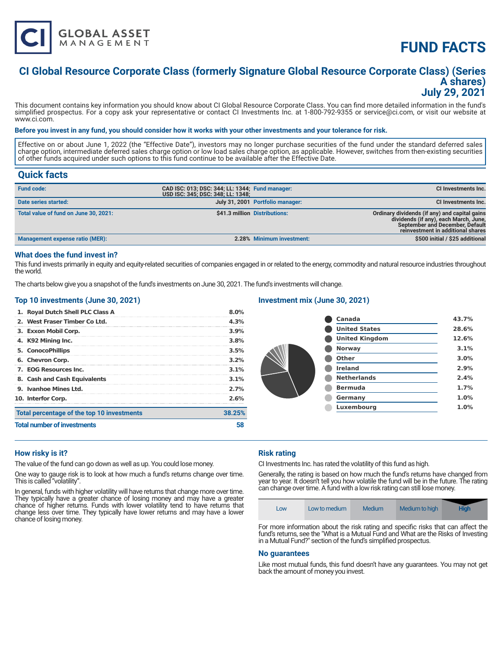

# **FUND FACTS**

## **CI Global Resource Corporate Class (formerly Signature Global Resource Corporate Class) (Series A shares) July 29, 2021**

This document contains key information you should know about CI Global Resource Corporate Class. You can find more detailed information in the fund's simplified prospectus. For a copy ask your representative or contact CI Investments Inc. at 1-800-792-9355 or service@ci.com, or visit our website at www.ci.com.

#### **Before you invest in any fund, you should consider how it works with your other investments and your tolerance for risk.**

Effective on or about June 1, 2022 (the "Effective Date"), investors may no longer purchase securities of the fund under the standard deferred sales charge option, intermediate deferred sales charge option or low load sales charge option, as applicable. However, switches from then-existing securities of other funds acquired under such options to this fund continue to be available after the Effective Date.

### **Quick facts**

| <b>Fund code:</b>                     | CAD ISC: 013; DSC: 344; LL: 1344; Fund manager:<br>USD ISC: 345; DSC: 348; LL: 1348; |                                  | CI Investments Inc.                                                                                                                                                   |
|---------------------------------------|--------------------------------------------------------------------------------------|----------------------------------|-----------------------------------------------------------------------------------------------------------------------------------------------------------------------|
| Date series started:                  |                                                                                      | July 31, 2001 Portfolio manager: | <b>CI Investments Inc.</b>                                                                                                                                            |
| Total value of fund on June 30, 2021: |                                                                                      | \$41.3 million Distributions:    | Ordinary dividends (if any) and capital gains<br>dividends (if any), each March, June,<br><b>September and December, Default</b><br>reinvestment in additional shares |
| Management expense ratio (MER):       |                                                                                      | 2.28% Minimum investment:        | \$500 initial / \$25 additional                                                                                                                                       |

#### **What does the fund invest in?**

This fund invests primarily in equity and equity-related securities of companies engaged in or related to the energy, commodity and natural resource industries throughout the world.

The charts below give you a snapshot of the fund's investments on June 30, 2021. The fund's investments will change.

#### **Top 10 investments (June 30, 2021)**

| <b>Total number of investments</b>         | 58     |
|--------------------------------------------|--------|
| Total percentage of the top 10 investments | 38.25% |
| 10. Interfor Corp.                         | 2.6%   |
| 9. Ivanhoe Mines Ltd.                      | 2.7%   |
| 8. Cash and Cash Equivalents               | 3.1%   |
| 7. EOG Resources Inc.                      | 3.1%   |
| 6. Chevron Corp.                           | 3.2%   |
| 5. ConocoPhillips                          | 3.5%   |
| 4. K92 Mining Inc.                         | 3.8%   |
| 3. Exxon Mobil Corp.                       | 3.9%   |
| 2. West Fraser Timber Co Ltd.              | 4.3%   |
| 1. Royal Dutch Shell PLC Class A           | 8.0%   |

#### **Investment mix (June 30, 2021)**

| Canada                | 43.7% |
|-----------------------|-------|
| <b>United States</b>  | 28.6% |
| <b>United Kingdom</b> | 12.6% |
| <b>Norway</b>         | 3.1%  |
| Other                 | 3.0%  |
| <b>Ireland</b>        | 2.9%  |
| <b>Netherlands</b>    | 2.4%  |
| <b>Bermuda</b>        | 1.7%  |
| Germany               | 1.0%  |
| Luxembourg            | 1.0%  |
|                       |       |

#### **How risky is it?**

The value of the fund can go down as well as up. You could lose money.

One way to gauge risk is to look at how much a fund's returns change over time. This is called "volatility".

In general, funds with higher volatility will have returns that change more over time. They typically have a greater chance of losing money and may have a greater chance of higher returns. Funds with lower volatility tend to have returns that change less over time. They typically have lower returns and may have a lower chance of losing money.

#### **Risk rating**

CI Investments Inc. has rated the volatility of this fund as high.

Generally, the rating is based on how much the fund's returns have changed from year to year. It doesn't tell you how volatile the fund will be in the future. The rating can change over time. A fund with a low risk rating can still lose money.

| LOW | Low to medium | Medium | Medium to high | <b>High</b> |
|-----|---------------|--------|----------------|-------------|
|-----|---------------|--------|----------------|-------------|

For more information about the risk rating and specific risks that can affect the fund's returns, see the "What is a Mutual Fund and What are the Risks of Investing in a Mutual Fund?" section of the fund's simplified prospectus.

#### **No guarantees**

Like most mutual funds, this fund doesn't have any guarantees. You may not get back the amount of money you invest.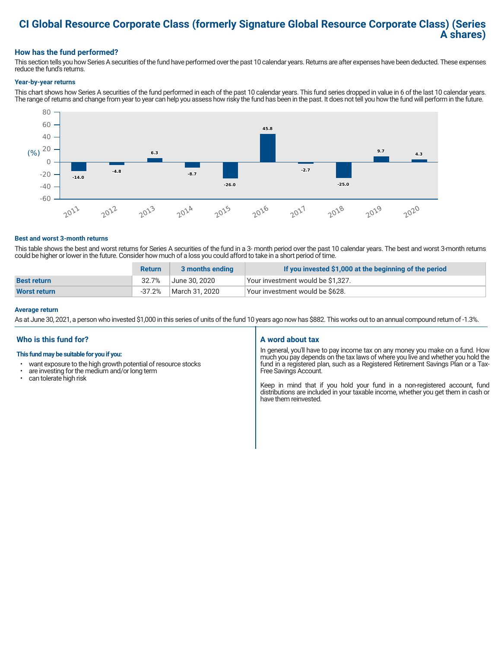# **CI Global Resource Corporate Class (formerly Signature Global Resource Corporate Class) (Series A shares)**

### **How has the fund performed?**

This section tells you how Series A securities of the fund have performed over the past 10 calendar years. Returns are after expenses have been deducted. These expenses reduce the fund's returns.

#### **Year-by-year returns**

This chart shows how Series A securities of the fund performed in each of the past 10 calendar years. This fund series dropped in value in 6 of the last 10 calendar years. The range of returns and change from year to year can help you assess how risky the fund has been in the past. It does not tell you how the fund will perform in the future.



#### **Best and worst 3-month returns**

This table shows the best and worst returns for Series A securities of the fund in a 3- month period over the past 10 calendar years. The best and worst 3-month returns could be higher or lower in the future. Consider how much of a loss you could afford to take in a short period of time.

|                     | <b>Return</b> | 3 months ending | If you invested \$1,000 at the beginning of the period |
|---------------------|---------------|-----------------|--------------------------------------------------------|
| <b>Best return</b>  | 32.7%         | June 30. 2020   | Your investment would be \$1,327.                      |
| <b>Worst return</b> | $-37.2%$      | March 31. 2020  | Your investment would be \$628.                        |

#### **Average return**

As at June 30, 2021, a person who invested \$1,000 in this series of units of the fund 10 years ago now has \$882. This works out to an annual compound return of -1.3%.

### **Who is this fund for?**

#### **This fund may be suitable for you if you:**

- want exposure to the high growth potential of resource stocks
- $\cdot$  are investing for the medium and/or long term<br> $\cdot$  can tolerate bigh risk
- can tolerate high risk

### **A word about tax**

In general, you'll have to pay income tax on any money you make on a fund. How much you pay depends on the tax laws of where you live and whether you hold the fund in a registered plan, such as a Registered Retirement Savings Plan or a Tax-Free Savings Account.

Keep in mind that if you hold your fund in a non-registered account, fund distributions are included in your taxable income, whether you get them in cash or have them reinvested.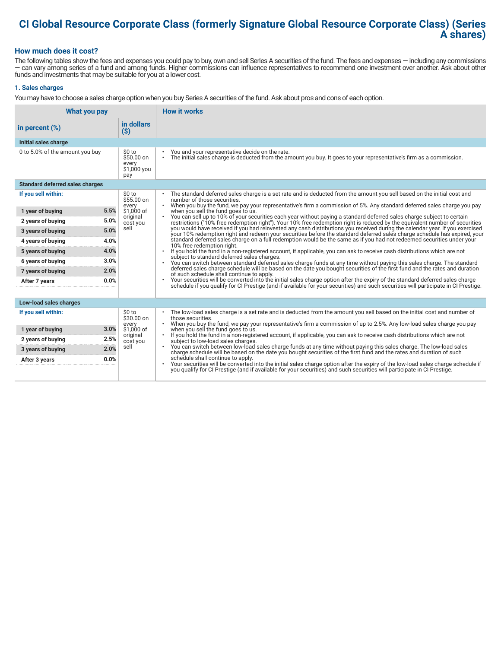# **CI Global Resource Corporate Class (formerly Signature Global Resource Corporate Class) (Series A shares)**

#### **How much does it cost?**

The following tables show the fees and expenses you could pay to buy, own and sell Series A securities of the fund. The fees and expenses — including any commissions — can vary among series of a fund and among funds. Higher commissions can influence representatives to recommend one investment over another. Ask about other funds and investments that may be suitable for you at a lower cost.

#### **1. Sales charges**

You may have to choose a sales charge option when you buy Series A securities of the fund. Ask about pros and cons of each option.

| What you pay                           |                                                      | <b>How it works</b>                                                                                                                                                                                                                                                                              |
|----------------------------------------|------------------------------------------------------|--------------------------------------------------------------------------------------------------------------------------------------------------------------------------------------------------------------------------------------------------------------------------------------------------|
| in percent $(\%)$                      | in dollars<br>$($ \$)                                |                                                                                                                                                                                                                                                                                                  |
| Initial sales charge                   |                                                      |                                                                                                                                                                                                                                                                                                  |
| 0 to 5.0% of the amount you buy        | \$0 to<br>$$50.00$ on<br>every<br>\$1,000 you<br>pay | You and your representative decide on the rate.<br>The initial sales charge is deducted from the amount you buy. It goes to your representative's firm as a commission.<br>$\bullet$                                                                                                             |
| <b>Standard deferred sales charges</b> |                                                      |                                                                                                                                                                                                                                                                                                  |
| If you sell within:                    | \$0 to<br>\$55.00 on                                 | The standard deferred sales charge is a set rate and is deducted from the amount you sell based on the initial cost and<br>number of those securities.                                                                                                                                           |
| 5.5%<br>1 year of buying               | every<br>\$1,000 of                                  | When you buy the fund, we pay your representative's firm a commission of 5%. Any standard deferred sales charge you pay<br>$\bullet$<br>when you sell the fund goes to us.                                                                                                                       |
| 5.0%<br>2 years of buying              | original<br>cost you                                 | You can sell up to 10% of your securities each year without paying a standard deferred sales charge subject to certain<br>restrictions ("10% free redemption right"). Your 10% free redemption right is reduced by the equivalent number of securities                                           |
| 5.0%<br>3 years of buying              | sell                                                 | you would have received if you had reinvested any cash distributions you received during the calendar year. If you exercised<br>your 10% redemption right and redeem your securities before the standard deferred sales charge schedule has expired, your                                        |
| 4.0%<br>4 years of buying              |                                                      | standard deferred sales charge on a full redemption would be the same as if you had not redeemed securities under your<br>10% free redemption right.                                                                                                                                             |
| 4.0%<br>5 years of buying              |                                                      | If you hold the fund in a non-registered account, if applicable, you can ask to receive cash distributions which are not                                                                                                                                                                         |
| 3.0%<br>6 years of buying              |                                                      | subject to standard deferred sales charges.<br>You can switch between standard deferred sales charge funds at any time without paying this sales charge. The standard<br>$\bullet$                                                                                                               |
| 2.0%<br>7 years of buying              |                                                      | deferred sales charge schedule will be based on the date you bought securities of the first fund and the rates and duration<br>of such schedule shall continue to apply.                                                                                                                         |
| 0.0%<br>After 7 years                  |                                                      | Your securities will be converted into the initial sales charge option after the expiry of the standard deferred sales charge<br>schedule if you qualify for CI Prestige (and if available for your securities) and such securities will participate in CI Prestige.                             |
| Low-load sales charges                 |                                                      |                                                                                                                                                                                                                                                                                                  |
| If you sell within:                    | \$0 to<br>\$30.00 on<br>every                        | The low-load sales charge is a set rate and is deducted from the amount you sell based on the initial cost and number of<br>those securities.<br>When you buy the fund, we pay your representative's firm a commission of up to 2.5%. Any low-load sales charge you pay                          |
| 3.0%<br>1 year of buying               | \$1,000 of                                           | when you sell the fund goes to us.                                                                                                                                                                                                                                                               |
| 2.5%<br>2 years of buying              | original<br>cost you                                 | If you hold the fund in a non-registered account, if applicable, you can ask to receive cash distributions which are not<br>subject to low-load sales charges.                                                                                                                                   |
| 2.0%<br>3 years of buying              | sell                                                 | . You can switch between low-load sales charge funds at any time without paying this sales charge. The low-load sales<br>charge schedule will be based on the date you bought securities of the first fund and the rates and duration of such                                                    |
| 0.0%<br>After 3 years                  |                                                      | schedule shall continue to apply.<br>Your securities will be converted into the initial sales charge option after the expiry of the low-load sales charge schedule if<br>you qualify for CI Prestige (and if available for your securities) and such securities will participate in CI Prestige. |
|                                        |                                                      |                                                                                                                                                                                                                                                                                                  |